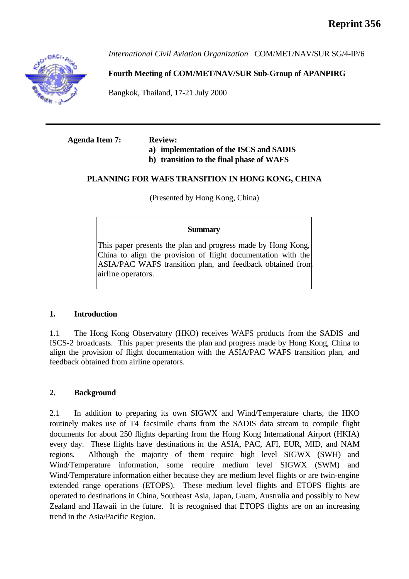

*International Civil Aviation Organization* COM/MET/NAV/SUR SG/4-IP/6

# **Fourth Meeting of COM/MET/NAV/SUR Sub-Group of APANPIRG**

Bangkok, Thailand, 17-21 July 2000

# **Agenda Item 7: Review:**

# **a) implementation of the ISCS and SADIS**

**b) transition to the final phase of WAFS**

# **PLANNING FOR WAFS TRANSITION IN HONG KONG, CHINA**

(Presented by Hong Kong, China)

## **Summary**

This paper presents the plan and progress made by Hong Kong, China to align the provision of flight documentation with the ASIA/PAC WAFS transition plan, and feedback obtained from airline operators.

## **1. Introduction**

1.1 The Hong Kong Observatory (HKO) receives WAFS products from the SADIS and ISCS-2 broadcasts. This paper presents the plan and progress made by Hong Kong, China to align the provision of flight documentation with the ASIA/PAC WAFS transition plan, and feedback obtained from airline operators.

## **2. Background**

2.1 In addition to preparing its own SIGWX and Wind/Temperature charts, the HKO routinely makes use of T4 facsimile charts from the SADIS data stream to compile flight documents for about 250 flights departing from the Hong Kong International Airport (HKIA) every day. These flights have destinations in the ASIA, PAC, AFI, EUR, MID, and NAM regions. Although the majority of them require high level SIGWX (SWH) and Wind/Temperature information, some require medium level SIGWX (SWM) and Wind/Temperature information either because they are medium level flights or are twin-engine extended range operations (ETOPS). These medium level flights and ETOPS flights are operated to destinations in China, Southeast Asia, Japan, Guam, Australia and possibly to New Zealand and Hawaii in the future. It is recognised that ETOPS flights are on an increasing trend in the Asia/Pacific Region.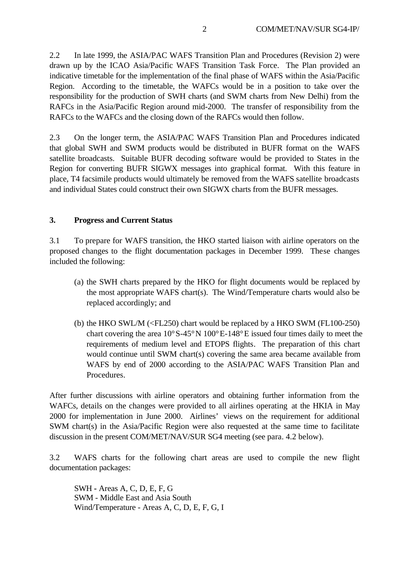2.2 In late 1999, the ASIA/PAC WAFS Transition Plan and Procedures (Revision 2) were drawn up by the ICAO Asia/Pacific WAFS Transition Task Force. The Plan provided an indicative timetable for the implementation of the final phase of WAFS within the Asia/Pacific Region. According to the timetable, the WAFCs would be in a position to take over the responsibility for the production of SWH charts (and SWM charts from New Delhi) from the RAFCs in the Asia/Pacific Region around mid-2000. The transfer of responsibility from the RAFCs to the WAFCs and the closing down of the RAFCs would then follow.

2.3 On the longer term, the ASIA/PAC WAFS Transition Plan and Procedures indicated that global SWH and SWM products would be distributed in BUFR format on the WAFS satellite broadcasts. Suitable BUFR decoding software would be provided to States in the Region for converting BUFR SIGWX messages into graphical format. With this feature in place, T4 facsimile products would ultimately be removed from the WAFS satellite broadcasts and individual States could construct their own SIGWX charts from the BUFR messages.

## **3. Progress and Current Status**

3.1 To prepare for WAFS transition, the HKO started liaison with airline operators on the proposed changes to the flight documentation packages in December 1999. These changes included the following:

- (a) the SWH charts prepared by the HKO for flight documents would be replaced by the most appropriate WAFS chart(s). The Wind/Temperature charts would also be replaced accordingly; and
- (b) the HKO SWL/M (<FL250) chart would be replaced by a HKO SWM (FL100-250) chart covering the area  $10^{\circ}S-45^{\circ}N 100^{\circ}E-148^{\circ}E$  issued four times daily to meet the requirements of medium level and ETOPS flights. The preparation of this chart would continue until SWM chart(s) covering the same area became available from WAFS by end of 2000 according to the ASIA/PAC WAFS Transition Plan and Procedures.

After further discussions with airline operators and obtaining further information from the WAFCs, details on the changes were provided to all airlines operating at the HKIA in May 2000 for implementation in June 2000. Airlines' views on the requirement for additional SWM chart(s) in the Asia/Pacific Region were also requested at the same time to facilitate discussion in the present COM/MET/NAV/SUR SG4 meeting (see para. 4.2 below).

3.2 WAFS charts for the following chart areas are used to compile the new flight documentation packages:

SWH **-** Areas A, C, D, E, F, G SWM - Middle East and Asia South Wind/Temperature - Areas A, C, D, E, F, G, I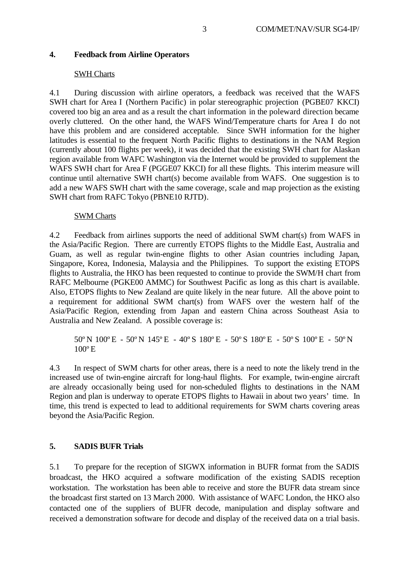## **4. Feedback from Airline Operators**

#### SWH Charts

4.1 During discussion with airline operators, a feedback was received that the WAFS SWH chart for Area I (Northern Pacific) in polar stereographic projection (PGBE07 KKCI) covered too big an area and as a result the chart information in the poleward direction became overly cluttered. On the other hand, the WAFS Wind/Temperature charts for Area I do not have this problem and are considered acceptable. Since SWH information for the higher latitudes is essential to the frequent North Pacific flights to destinations in the NAM Region (currently about 100 flights per week), it was decided that the existing SWH chart for Alaskan region available from WAFC Washington via the Internet would be provided to supplement the WAFS SWH chart for Area F (PGGE07 KKCI) for all these flights. This interim measure will continue until alternative SWH chart(s) become available from WAFS. One suggestion is to add a new WAFS SWH chart with the same coverage, scale and map projection as the existing SWH chart from RAFC Tokyo (PBNE10 RJTD).

#### SWM Charts

4.2 Feedback from airlines supports the need of additional SWM chart(s) from WAFS in the Asia/Pacific Region. There are currently ETOPS flights to the Middle East, Australia and Guam, as well as regular twin-engine flights to other Asian countries including Japan, Singapore, Korea, Indonesia, Malaysia and the Philippines. To support the existing ETOPS flights to Australia, the HKO has been requested to continue to provide the SWM/H chart from RAFC Melbourne (PGKE00 AMMC) for Southwest Pacific as long as this chart is available. Also, ETOPS flights to New Zealand are quite likely in the near future. All the above point to a requirement for additional SWM chart(s) from WAFS over the western half of the Asia/Pacific Region, extending from Japan and eastern China across Southeast Asia to Australia and New Zealand. A possible coverage is:

50ºN 100ºE - 50ºN 145ºE - 40ºS 180ºE - 50ºS 180ºE - 50ºS 100ºE - 50ºN 100ºE

4.3 In respect of SWM charts for other areas, there is a need to note the likely trend in the increased use of twin-engine aircraft for long-haul flights. For example, twin-engine aircraft are already occasionally being used for non-scheduled flights to destinations in the NAM Region and plan is underway to operate ETOPS flights to Hawaii in about two years' time. In time, this trend is expected to lead to additional requirements for SWM charts covering areas beyond the Asia/Pacific Region.

#### **5. SADIS BUFR Trials**

5.1 To prepare for the reception of SIGWX information in BUFR format from the SADIS broadcast, the HKO acquired a software modification of the existing SADIS reception workstation. The workstation has been able to receive and store the BUFR data stream since the broadcast first started on 13 March 2000. With assistance of WAFC London, the HKO also contacted one of the suppliers of BUFR decode, manipulation and display software and received a demonstration software for decode and display of the received data on a trial basis.